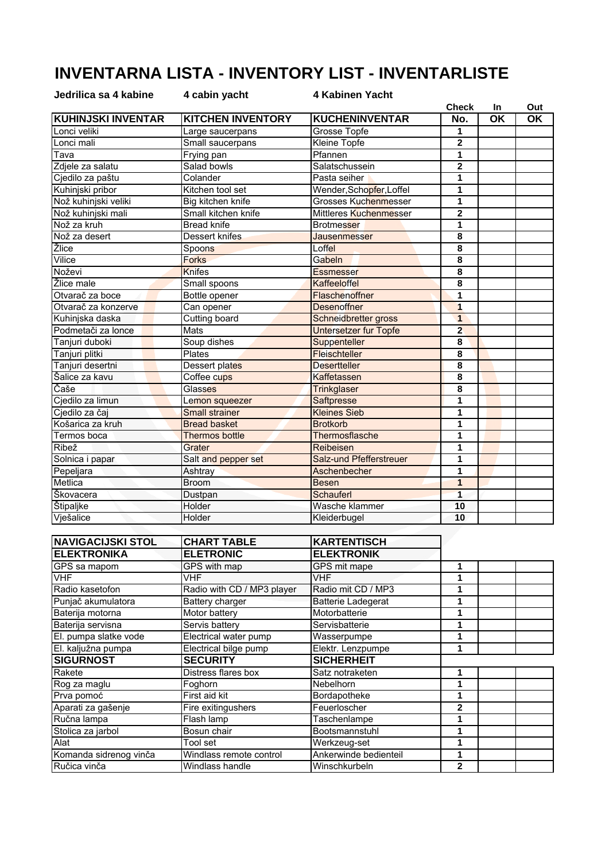## **INVENTARNA LISTA - INVENTORY LIST - INVENTARLISTE**

| Jedrilica sa 4 kabine     | 4 cabin yacht            | 4 Kabinen Yacht         |                         |           |                          |
|---------------------------|--------------------------|-------------------------|-------------------------|-----------|--------------------------|
|                           |                          |                         | <b>Check</b>            | In        | Out                      |
| <b>KUHINJSKI INVENTAR</b> | <b>KITCHEN INVENTORY</b> | <b>KUCHENINVENTAR</b>   | No.                     | <b>OK</b> | $\overline{\mathsf{OK}}$ |
| Lonci veliki              | Large saucerpans         | Grosse Topfe            | 1                       |           |                          |
| Lonci mali                | Small saucerpans         | <b>Kleine Topfe</b>     | $\overline{2}$          |           |                          |
| Tava                      | Frying pan               | Pfannen                 | 1                       |           |                          |
| Zdjele za salatu          | Salad bowls              | Salatschussein          | $\overline{2}$          |           |                          |
| Cjedilo za paštu          | Colander                 | Pasta seiher            | 1                       |           |                          |
| Kuhinjski pribor          | Kitchen tool set         | Wender,Schonfer,Loffel  | 1                       |           |                          |
| Nož kuhinjski veliki      | Big kitchen knife        | Grosses Kuchenmesser    | 1                       |           |                          |
| Nož kuhinjski mali        | Small kitchen knife      | Mittleres Kuchenmesser  | $\mathbf 2$             |           |                          |
| Nož za kruh               | <b>Bread knife</b>       | <b>Brotmesser</b>       | 1                       |           |                          |
| Nož za desert             | Dessert knifes           | <b>Jausenmesser</b>     | 8                       |           |                          |
| Žlice                     | Spoons                   | Loffel                  | 8                       |           |                          |
| Vilice                    | <b>Forks</b>             | Gabeln                  | 8                       |           |                          |
| Noževi                    | <b>Knifes</b>            | <b>Essmesser</b>        | 8                       |           |                          |
| Žlice male                | Small spoons             | Kaffeeloffel            | 8                       |           |                          |
| Otvarač za boce           | Bottle opener            | Flaschenoffner          | 1                       |           |                          |
| Otvarač za konzerve       | Can opener               | <b>Desenoffner</b>      | $\overline{\mathbf{1}}$ |           |                          |
| Kuhinjska daska           | Cutting board            | Schneidbretter gross    | $\mathbf{1}$            |           |                          |
| Podmetači za lonce        | Mats                     | Untersetzer fur Topfe   | $\overline{2}$          |           |                          |
| Tanjuri duboki            | Soup dishes              | Suppenteller            | 8                       |           |                          |
| Tanjuri plitki            | Plates                   | <b>Fleischteller</b>    | 8                       |           |                          |
| Tanjuri desertni          | Dessert plates           | <b>Desertteller</b>     | 8                       |           |                          |
| Šalice za kavu            | Coffee cups              | Kaffetassen             | 8                       |           |                          |
| Čaše                      | Glasses                  | <b>Trinkglaser</b>      | 8                       |           |                          |
| Cjedilo za limun          | Lemon squeezer           | Saftpresse              | 1                       |           |                          |
| Cjedilo za čaj            | <b>Small strainer</b>    | <b>Kleines Sieb</b>     | 1                       |           |                          |
| Košarica za kruh          | <b>Bread basket</b>      | <b>Brotkorb</b>         | 1                       |           |                          |
| Termos boca               | <b>Thermos bottle</b>    | Thermosflasche          | 1                       |           |                          |
| Ribež                     | Grater                   | Reibeisen               | 1                       |           |                          |
| Solnica i papar           | Salt and pepper set      | Salz-und Pfefferstreuer | 1                       |           |                          |
| Pepeljara                 | Ashtray                  | Aschenbecher            | 1                       |           |                          |
| Metlica                   | <b>Broom</b>             | <b>Besen</b>            | $\mathbf{1}$            |           |                          |
| Škovacera                 | Dustpan                  | Schauferl               | $\overline{1}$          |           |                          |
| Štipaljke                 | Holder                   | Wasche klammer          | 10                      |           |                          |
| Vješalice                 | Holder                   | Kleiderbugel            | 10                      |           |                          |

| <b>NAVIGACIJSKI STOL</b> | <b>CHART TABLE</b>         | <b>KARTENTISCH</b>        |              |  |
|--------------------------|----------------------------|---------------------------|--------------|--|
| <b>ELEKTRONIKA</b>       | <b>ELETRONIC</b>           | <b>ELEKTRONIK</b>         |              |  |
| GPS sa mapom             | GPS with map               | GPS mit mape              |              |  |
| <b>VHF</b>               | VHF                        | VHF                       |              |  |
| Radio kasetofon          | Radio with CD / MP3 player | Radio mit CD / MP3        |              |  |
| Punjač akumulatora       | Battery charger            | <b>Batterie Ladegerat</b> |              |  |
| Baterija motorna         | Motor battery              | Motorbatterie             |              |  |
| Baterija servisna        | Servis battery             | Servisbatterie            |              |  |
| El. pumpa slatke vode    | Electrical water pump      | Wasserpumpe               |              |  |
| El. kaljužna pumpa       | Electrical bilge pump      | Elektr. Lenzpumpe         |              |  |
| <b>SIGURNOST</b>         | <b>SECURITY</b>            | <b>SICHERHEIT</b>         |              |  |
| Rakete                   | Distress flares box        | Satz notraketen           |              |  |
| Rog za maglu             | Foghorn                    | Nebelhorn                 |              |  |
| Prva pomoć               | First aid kit              | Bordapotheke              |              |  |
| Aparati za gašenje       | Fire exitingushers         | Feuerloscher              | 2            |  |
| Ručna lampa              | Flash lamp                 | Taschenlampe              |              |  |
| Stolica za jarbol        | Bosun chair                | Bootsmannstuhl            |              |  |
| Alat                     | Tool set                   | Werkzeug-set              |              |  |
| Komanda sidrenog vinča   | Windlass remote control    | Ankerwinde bedienteil     |              |  |
| Ručica vinča             | Windlass handle            | Winschkurbeln             | $\mathbf{2}$ |  |